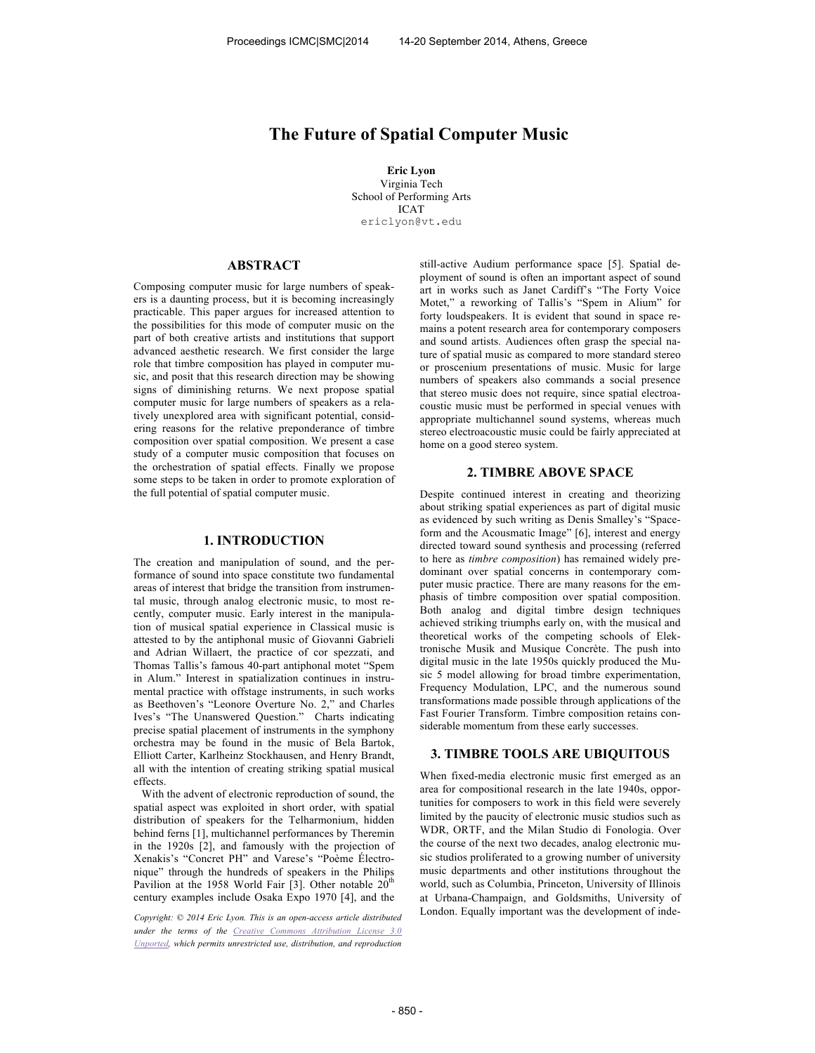# **The Future of Spatial Computer Music**

**Eric Lyon** Virginia Tech School of Performing Arts ICAT ericlyon@vt.edu

#### **ABSTRACT**

Composing computer music for large numbers of speakers is a daunting process, but it is becoming increasingly practicable. This paper argues for increased attention to the possibilities for this mode of computer music on the part of both creative artists and institutions that support advanced aesthetic research. We first consider the large role that timbre composition has played in computer music, and posit that this research direction may be showing signs of diminishing returns. We next propose spatial computer music for large numbers of speakers as a relatively unexplored area with significant potential, considering reasons for the relative preponderance of timbre composition over spatial composition. We present a case study of a computer music composition that focuses on the orchestration of spatial effects. Finally we propose some steps to be taken in order to promote exploration of the full potential of spatial computer music.

### **1. INTRODUCTION**

The creation and manipulation of sound, and the performance of sound into space constitute two fundamental areas of interest that bridge the transition from instrumental music, through analog electronic music, to most recently, computer music. Early interest in the manipulation of musical spatial experience in Classical music is attested to by the antiphonal music of Giovanni Gabrieli and Adrian Willaert, the practice of cor spezzati, and Thomas Tallis's famous 40-part antiphonal motet "Spem in Alum." Interest in spatialization continues in instrumental practice with offstage instruments, in such works as Beethoven's "Leonore Overture No. 2," and Charles Ives's "The Unanswered Question." Charts indicating precise spatial placement of instruments in the symphony orchestra may be found in the music of Bela Bartok, Elliott Carter, Karlheinz Stockhausen, and Henry Brandt, all with the intention of creating striking spatial musical effects.

With the advent of electronic reproduction of sound, the spatial aspect was exploited in short order, with spatial distribution of speakers for the Telharmonium, hidden behind ferns [1], multichannel performances by Theremin in the 1920s [2], and famously with the projection of Xenakis's "Concret PH" and Varese's "Poème Électronique" through the hundreds of speakers in the Philips Pavilion at the 1958 World Fair [3]. Other notable  $20^{th}$ century examples include Osaka Expo 1970 [4], and the

*under the terms of the Creative Commons Attribution License 3.0 Unported, which permits unrestricted use, distribution, and reproduction* 

still-active Audium performance space [5]. Spatial deployment of sound is often an important aspect of sound art in works such as Janet Cardiff's "The Forty Voice Motet," a reworking of Tallis's "Spem in Alium" for forty loudspeakers. It is evident that sound in space remains a potent research area for contemporary composers and sound artists. Audiences often grasp the special nature of spatial music as compared to more standard stereo or proscenium presentations of music. Music for large numbers of speakers also commands a social presence that stereo music does not require, since spatial electroacoustic music must be performed in special venues with appropriate multichannel sound systems, whereas much stereo electroacoustic music could be fairly appreciated at home on a good stereo system.

#### **2. TIMBRE ABOVE SPACE**

Despite continued interest in creating and theorizing about striking spatial experiences as part of digital music as evidenced by such writing as Denis Smalley's "Spaceform and the Acousmatic Image" [6], interest and energy directed toward sound synthesis and processing (referred to here as *timbre composition*) has remained widely predominant over spatial concerns in contemporary computer music practice. There are many reasons for the emphasis of timbre composition over spatial composition. Both analog and digital timbre design techniques achieved striking triumphs early on, with the musical and theoretical works of the competing schools of Elektronische Musik and Musique Concrète. The push into digital music in the late 1950s quickly produced the Music 5 model allowing for broad timbre experimentation, Frequency Modulation, LPC, and the numerous sound transformations made possible through applications of the Fast Fourier Transform. Timbre composition retains considerable momentum from these early successes.

#### **3. TIMBRE TOOLS ARE UBIQUITOUS**

When fixed-media electronic music first emerged as an area for compositional research in the late 1940s, opportunities for composers to work in this field were severely limited by the paucity of electronic music studios such as WDR, ORTF, and the Milan Studio di Fonologia. Over the course of the next two decades, analog electronic music studios proliferated to a growing number of university music departments and other institutions throughout the world, such as Columbia, Princeton, University of Illinois at Urbana-Champaign, and Goldsmiths, University of London. Equally important was the development of inde- *Copyright: © 2014 Eric Lyon. This is an open-access article distributed*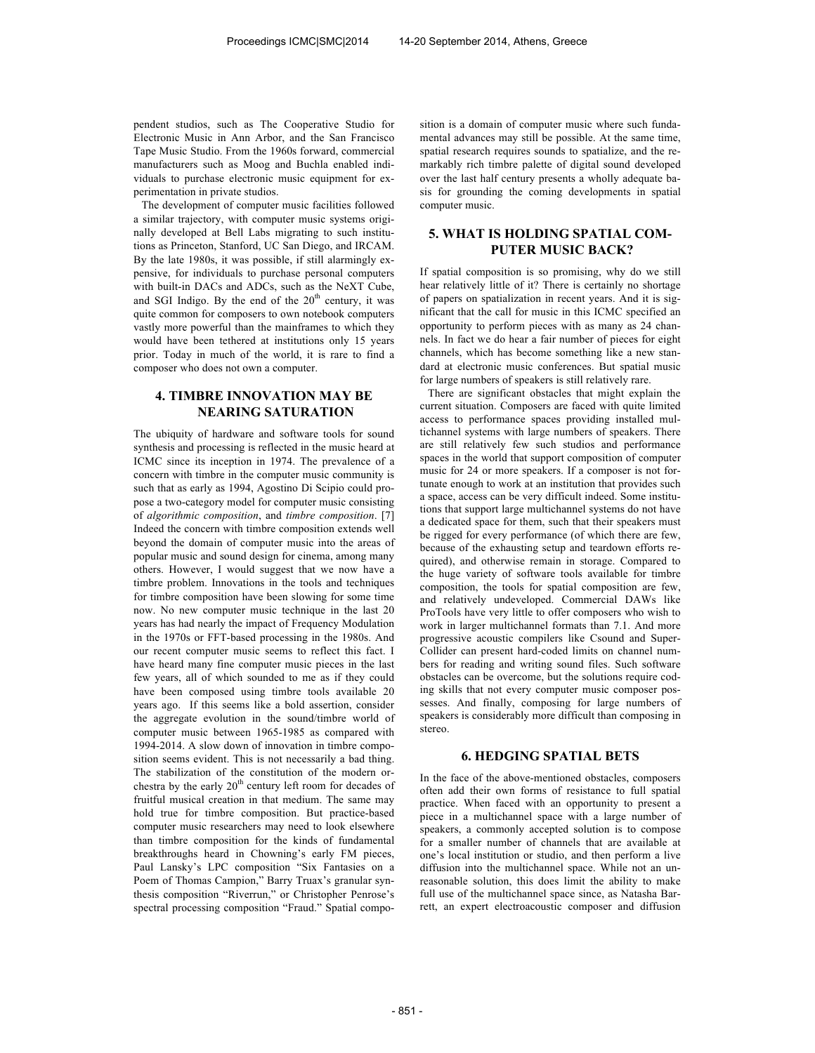pendent studios, such as The Cooperative Studio for Electronic Music in Ann Arbor, and the San Francisco Tape Music Studio. From the 1960s forward, commercial manufacturers such as Moog and Buchla enabled individuals to purchase electronic music equipment for experimentation in private studios.

The development of computer music facilities followed a similar trajectory, with computer music systems originally developed at Bell Labs migrating to such institutions as Princeton, Stanford, UC San Diego, and IRCAM. By the late 1980s, it was possible, if still alarmingly expensive, for individuals to purchase personal computers with built-in DACs and ADCs, such as the NeXT Cube, and SGI Indigo. By the end of the  $20<sup>th</sup>$  century, it was quite common for composers to own notebook computers vastly more powerful than the mainframes to which they would have been tethered at institutions only 15 years prior. Today in much of the world, it is rare to find a composer who does not own a computer.

## **4. TIMBRE INNOVATION MAY BE NEARING SATURATION**

The ubiquity of hardware and software tools for sound synthesis and processing is reflected in the music heard at ICMC since its inception in 1974. The prevalence of a concern with timbre in the computer music community is such that as early as 1994, Agostino Di Scipio could propose a two-category model for computer music consisting of *algorithmic composition*, and *timbre composition*. [7] Indeed the concern with timbre composition extends well beyond the domain of computer music into the areas of popular music and sound design for cinema, among many others. However, I would suggest that we now have a timbre problem. Innovations in the tools and techniques for timbre composition have been slowing for some time now. No new computer music technique in the last 20 years has had nearly the impact of Frequency Modulation in the 1970s or FFT-based processing in the 1980s. And our recent computer music seems to reflect this fact. I have heard many fine computer music pieces in the last few years, all of which sounded to me as if they could have been composed using timbre tools available 20 years ago. If this seems like a bold assertion, consider the aggregate evolution in the sound/timbre world of computer music between 1965-1985 as compared with 1994-2014. A slow down of innovation in timbre composition seems evident. This is not necessarily a bad thing. The stabilization of the constitution of the modern orchestra by the early  $20<sup>th</sup>$  century left room for decades of fruitful musical creation in that medium. The same may hold true for timbre composition. But practice-based computer music researchers may need to look elsewhere than timbre composition for the kinds of fundamental breakthroughs heard in Chowning's early FM pieces, Paul Lansky's LPC composition "Six Fantasies on a Poem of Thomas Campion," Barry Truax's granular synthesis composition "Riverrun," or Christopher Penrose's spectral processing composition "Fraud." Spatial compo-

sition is a domain of computer music where such fundamental advances may still be possible. At the same time, spatial research requires sounds to spatialize, and the remarkably rich timbre palette of digital sound developed over the last half century presents a wholly adequate basis for grounding the coming developments in spatial computer music.

## **5. WHAT IS HOLDING SPATIAL COM-PUTER MUSIC BACK?**

If spatial composition is so promising, why do we still hear relatively little of it? There is certainly no shortage of papers on spatialization in recent years. And it is significant that the call for music in this ICMC specified an opportunity to perform pieces with as many as 24 channels. In fact we do hear a fair number of pieces for eight channels, which has become something like a new standard at electronic music conferences. But spatial music for large numbers of speakers is still relatively rare.

There are significant obstacles that might explain the current situation. Composers are faced with quite limited access to performance spaces providing installed multichannel systems with large numbers of speakers. There are still relatively few such studios and performance spaces in the world that support composition of computer music for 24 or more speakers. If a composer is not fortunate enough to work at an institution that provides such a space, access can be very difficult indeed. Some institutions that support large multichannel systems do not have a dedicated space for them, such that their speakers must be rigged for every performance (of which there are few, because of the exhausting setup and teardown efforts required), and otherwise remain in storage. Compared to the huge variety of software tools available for timbre composition, the tools for spatial composition are few, and relatively undeveloped. Commercial DAWs like ProTools have very little to offer composers who wish to work in larger multichannel formats than 7.1. And more progressive acoustic compilers like Csound and Super-Collider can present hard-coded limits on channel numbers for reading and writing sound files. Such software obstacles can be overcome, but the solutions require coding skills that not every computer music composer possesses. And finally, composing for large numbers of speakers is considerably more difficult than composing in stereo.

#### **6. HEDGING SPATIAL BETS**

In the face of the above-mentioned obstacles, composers often add their own forms of resistance to full spatial practice. When faced with an opportunity to present a piece in a multichannel space with a large number of speakers, a commonly accepted solution is to compose for a smaller number of channels that are available at one's local institution or studio, and then perform a live diffusion into the multichannel space. While not an unreasonable solution, this does limit the ability to make full use of the multichannel space since, as Natasha Barrett, an expert electroacoustic composer and diffusion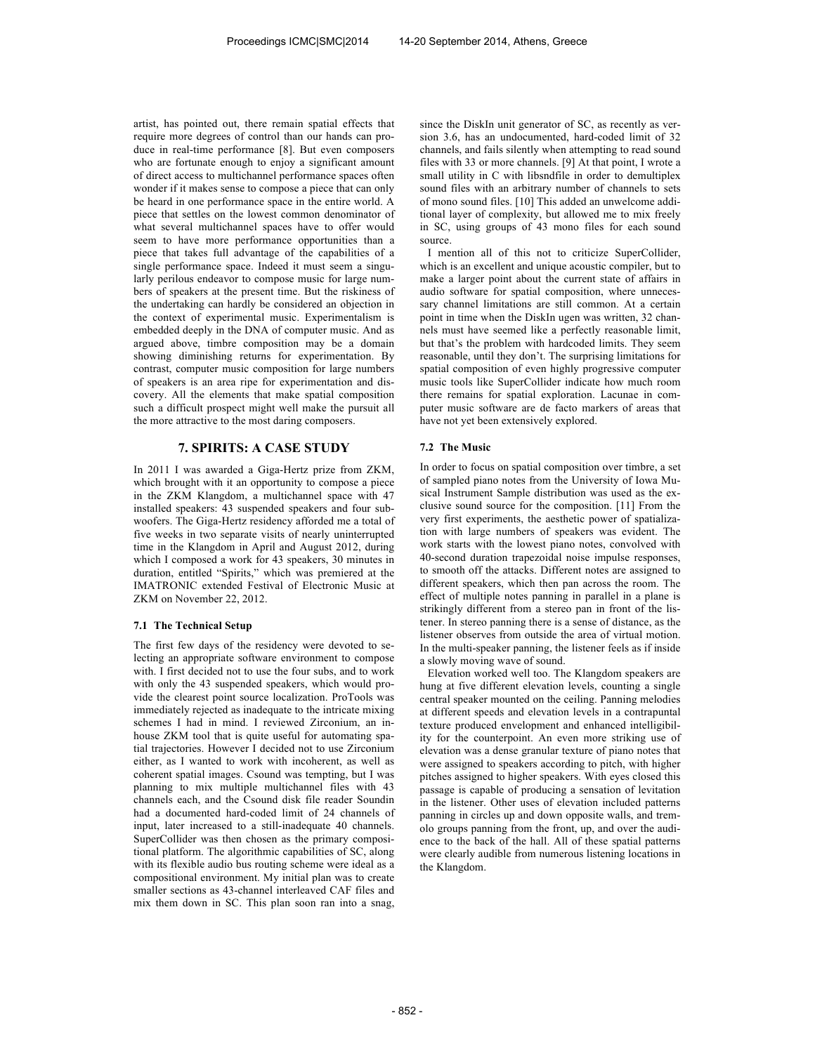artist, has pointed out, there remain spatial effects that require more degrees of control than our hands can produce in real-time performance [8]. But even composers who are fortunate enough to enjoy a significant amount of direct access to multichannel performance spaces often wonder if it makes sense to compose a piece that can only be heard in one performance space in the entire world. A piece that settles on the lowest common denominator of what several multichannel spaces have to offer would seem to have more performance opportunities than a piece that takes full advantage of the capabilities of a single performance space. Indeed it must seem a singularly perilous endeavor to compose music for large numbers of speakers at the present time. But the riskiness of the undertaking can hardly be considered an objection in the context of experimental music. Experimentalism is embedded deeply in the DNA of computer music. And as argued above, timbre composition may be a domain showing diminishing returns for experimentation. By contrast, computer music composition for large numbers of speakers is an area ripe for experimentation and discovery. All the elements that make spatial composition such a difficult prospect might well make the pursuit all the more attractive to the most daring composers.

#### **7. SPIRITS: A CASE STUDY**

In 2011 I was awarded a Giga-Hertz prize from ZKM, which brought with it an opportunity to compose a piece in the ZKM Klangdom, a multichannel space with 47 installed speakers: 43 suspended speakers and four subwoofers. The Giga-Hertz residency afforded me a total of five weeks in two separate visits of nearly uninterrupted time in the Klangdom in April and August 2012, during which I composed a work for 43 speakers, 30 minutes in duration, entitled "Spirits," which was premiered at the IMATRONIC extended Festival of Electronic Music at ZKM on November 22, 2012.

#### **7.1 The Technical Setup**

The first few days of the residency were devoted to selecting an appropriate software environment to compose with. I first decided not to use the four subs, and to work with only the 43 suspended speakers, which would provide the clearest point source localization. ProTools was immediately rejected as inadequate to the intricate mixing schemes I had in mind. I reviewed Zirconium, an inhouse ZKM tool that is quite useful for automating spatial trajectories. However I decided not to use Zirconium either, as I wanted to work with incoherent, as well as coherent spatial images. Csound was tempting, but I was planning to mix multiple multichannel files with 43 channels each, and the Csound disk file reader Soundin had a documented hard-coded limit of 24 channels of input, later increased to a still-inadequate 40 channels. SuperCollider was then chosen as the primary compositional platform. The algorithmic capabilities of SC, along with its flexible audio bus routing scheme were ideal as a compositional environment. My initial plan was to create smaller sections as 43-channel interleaved CAF files and mix them down in SC. This plan soon ran into a snag,

since the DiskIn unit generator of SC, as recently as version 3.6, has an undocumented, hard-coded limit of 32 channels, and fails silently when attempting to read sound files with 33 or more channels. [9] At that point, I wrote a small utility in C with libsndfile in order to demultiplex sound files with an arbitrary number of channels to sets of mono sound files. [10] This added an unwelcome additional layer of complexity, but allowed me to mix freely in SC, using groups of 43 mono files for each sound source.

I mention all of this not to criticize SuperCollider, which is an excellent and unique acoustic compiler, but to make a larger point about the current state of affairs in audio software for spatial composition, where unnecessary channel limitations are still common. At a certain point in time when the DiskIn ugen was written, 32 channels must have seemed like a perfectly reasonable limit, but that's the problem with hardcoded limits. They seem reasonable, until they don't. The surprising limitations for spatial composition of even highly progressive computer music tools like SuperCollider indicate how much room there remains for spatial exploration. Lacunae in computer music software are de facto markers of areas that have not yet been extensively explored.

#### **7.2 The Music**

In order to focus on spatial composition over timbre, a set of sampled piano notes from the University of Iowa Musical Instrument Sample distribution was used as the exclusive sound source for the composition. [11] From the very first experiments, the aesthetic power of spatialization with large numbers of speakers was evident. The work starts with the lowest piano notes, convolved with 40-second duration trapezoidal noise impulse responses, to smooth off the attacks. Different notes are assigned to different speakers, which then pan across the room. The effect of multiple notes panning in parallel in a plane is strikingly different from a stereo pan in front of the listener. In stereo panning there is a sense of distance, as the listener observes from outside the area of virtual motion. In the multi-speaker panning, the listener feels as if inside a slowly moving wave of sound.

Elevation worked well too. The Klangdom speakers are hung at five different elevation levels, counting a single central speaker mounted on the ceiling. Panning melodies at different speeds and elevation levels in a contrapuntal texture produced envelopment and enhanced intelligibility for the counterpoint. An even more striking use of elevation was a dense granular texture of piano notes that were assigned to speakers according to pitch, with higher pitches assigned to higher speakers. With eyes closed this passage is capable of producing a sensation of levitation in the listener. Other uses of elevation included patterns panning in circles up and down opposite walls, and tremolo groups panning from the front, up, and over the audience to the back of the hall. All of these spatial patterns were clearly audible from numerous listening locations in the Klangdom.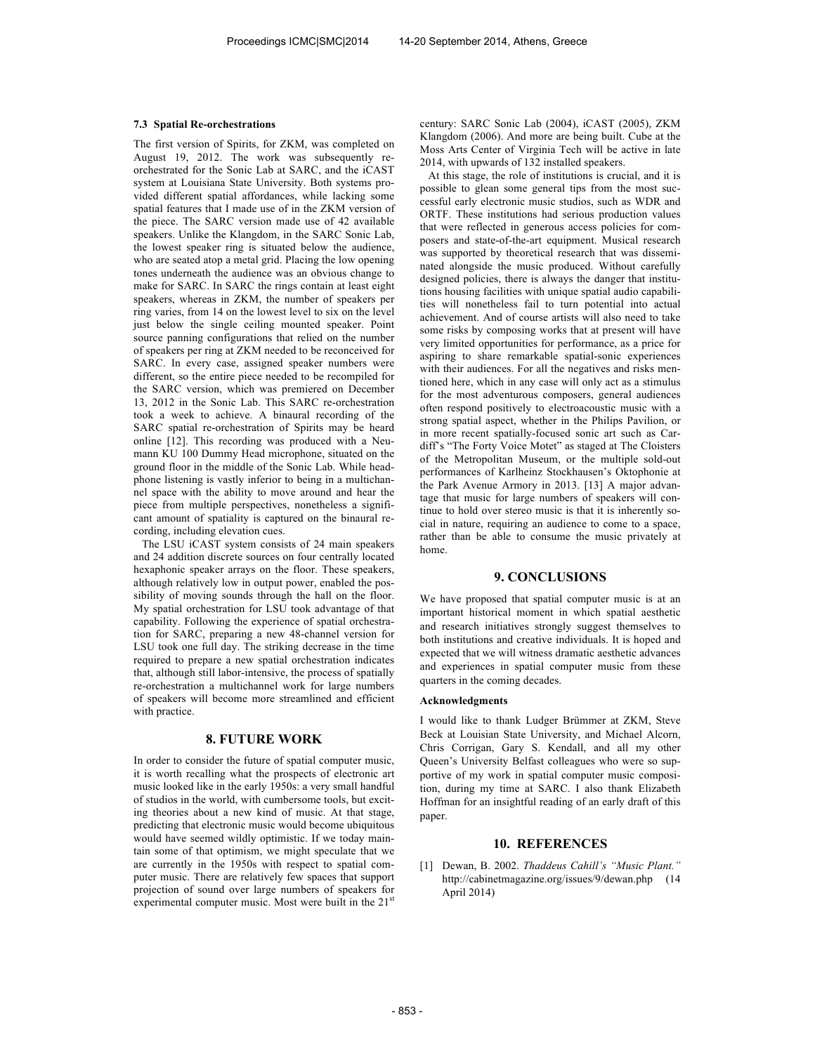#### **7.3 Spatial Re-orchestrations**

The first version of Spirits, for ZKM, was completed on August 19, 2012. The work was subsequently reorchestrated for the Sonic Lab at SARC, and the iCAST system at Louisiana State University. Both systems provided different spatial affordances, while lacking some spatial features that I made use of in the ZKM version of the piece. The SARC version made use of 42 available speakers. Unlike the Klangdom, in the SARC Sonic Lab, the lowest speaker ring is situated below the audience, who are seated atop a metal grid. Placing the low opening tones underneath the audience was an obvious change to make for SARC. In SARC the rings contain at least eight speakers, whereas in ZKM, the number of speakers per ring varies, from 14 on the lowest level to six on the level just below the single ceiling mounted speaker. Point source panning configurations that relied on the number of speakers per ring at ZKM needed to be reconceived for SARC. In every case, assigned speaker numbers were different, so the entire piece needed to be recompiled for the SARC version, which was premiered on December 13, 2012 in the Sonic Lab. This SARC re-orchestration took a week to achieve. A binaural recording of the SARC spatial re-orchestration of Spirits may be heard online [12]. This recording was produced with a Neumann KU 100 Dummy Head microphone, situated on the ground floor in the middle of the Sonic Lab. While headphone listening is vastly inferior to being in a multichannel space with the ability to move around and hear the piece from multiple perspectives, nonetheless a significant amount of spatiality is captured on the binaural recording, including elevation cues.

 The LSU iCAST system consists of 24 main speakers and 24 addition discrete sources on four centrally located hexaphonic speaker arrays on the floor. These speakers, although relatively low in output power, enabled the possibility of moving sounds through the hall on the floor. My spatial orchestration for LSU took advantage of that capability. Following the experience of spatial orchestration for SARC, preparing a new 48-channel version for LSU took one full day. The striking decrease in the time required to prepare a new spatial orchestration indicates that, although still labor-intensive, the process of spatially re-orchestration a multichannel work for large numbers of speakers will become more streamlined and efficient with practice.

#### **8. FUTURE WORK**

In order to consider the future of spatial computer music, it is worth recalling what the prospects of electronic art music looked like in the early 1950s: a very small handful of studios in the world, with cumbersome tools, but exciting theories about a new kind of music. At that stage, predicting that electronic music would become ubiquitous would have seemed wildly optimistic. If we today maintain some of that optimism, we might speculate that we are currently in the 1950s with respect to spatial computer music. There are relatively few spaces that support projection of sound over large numbers of speakers for experimental computer music. Most were built in the  $21<sup>st</sup>$ 

century: SARC Sonic Lab (2004), iCAST (2005), ZKM Klangdom (2006). And more are being built. Cube at the Moss Arts Center of Virginia Tech will be active in late 2014, with upwards of 132 installed speakers.

 At this stage, the role of institutions is crucial, and it is possible to glean some general tips from the most successful early electronic music studios, such as WDR and ORTF. These institutions had serious production values that were reflected in generous access policies for composers and state-of-the-art equipment. Musical research was supported by theoretical research that was disseminated alongside the music produced. Without carefully designed policies, there is always the danger that institutions housing facilities with unique spatial audio capabilities will nonetheless fail to turn potential into actual achievement. And of course artists will also need to take some risks by composing works that at present will have very limited opportunities for performance, as a price for aspiring to share remarkable spatial-sonic experiences with their audiences. For all the negatives and risks mentioned here, which in any case will only act as a stimulus for the most adventurous composers, general audiences often respond positively to electroacoustic music with a strong spatial aspect, whether in the Philips Pavilion, or in more recent spatially-focused sonic art such as Cardiff's "The Forty Voice Motet" as staged at The Cloisters of the Metropolitan Museum, or the multiple sold-out performances of Karlheinz Stockhausen's Oktophonie at the Park Avenue Armory in 2013. [13] A major advantage that music for large numbers of speakers will continue to hold over stereo music is that it is inherently social in nature, requiring an audience to come to a space, rather than be able to consume the music privately at home.

### **9. CONCLUSIONS**

We have proposed that spatial computer music is at an important historical moment in which spatial aesthetic and research initiatives strongly suggest themselves to both institutions and creative individuals. It is hoped and expected that we will witness dramatic aesthetic advances and experiences in spatial computer music from these quarters in the coming decades.

#### **Acknowledgments**

I would like to thank Ludger Brümmer at ZKM, Steve Beck at Louisian State University, and Michael Alcorn, Chris Corrigan, Gary S. Kendall, and all my other Queen's University Belfast colleagues who were so supportive of my work in spatial computer music composition, during my time at SARC. I also thank Elizabeth Hoffman for an insightful reading of an early draft of this paper.

## **10. REFERENCES**

[1] Dewan, B. 2002. *Thaddeus Cahill's "Music Plant."* http://cabinetmagazine.org/issues/9/dewan.php (14 April 2014)